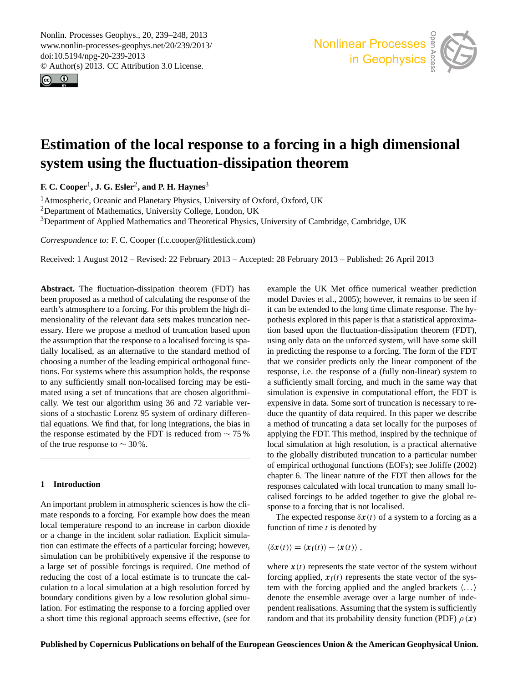<span id="page-0-0"></span>Nonlin. Processes Geophys., 20, 239–248, 2013 www.nonlin-processes-geophys.net/20/239/2013/ doi:10.5194/npg-20-239-2013  $\omega$ : 10.5194/npg-20-239-2013<br>© Author(s) 2013. CC Attribution 3.0 License. rc<br>li1<br>(s





# system using the fluctuation-dissipation theorem  $\overline{C}$ n<br>P Chemistry  $\mathbf i$ **Estimation of the local response to a forcing in a high dimensional**

and Physics **F. C. Cooper**<sup>1</sup> **, J. G. Esler**<sup>2</sup> **, and P. H. Haynes**<sup>3</sup>  $\mathbf{s}^3$ 

<sup>1</sup> Atmospheric, Oceanic and Planetary Physics, University of Oxford, Oxford, UK <sup>3</sup>Department of Applied Mathematics and Theoretical Physics, University of Cambridge, Cambridge, UK en<br>enc iv<br>
<br>
<br>
<br>
<br>
<br>
<br>
<br><br><br><br><br><br><br><br><br><br><br><br><br> <sup>2</sup>Department of Mathematics, University College, London, UK

*Correspondence to:* F. C. Cooper (f.c.cooper@littlestick.com)

 $\mathbf{r}$  $T_{\text{total}}$ Received: 1 August 2012 – Revised: 22 February 2013 – Accepted: 28 February 2013 – Published: 26 April 2013

been proposed as a method of calculating the response of the .<br>,<br>m **Abstract.** The fluctuation-dissipation theorem (FDT) has earth's atmosphere to a forcing. For this problem the high ditially localised, as an alternative to the standard method of  $\frac{d}{dt}$  a number of the leading empirical orthogonal func-<br>tions ig a number of the leading empirical orthogonal funcpt<br>ali<br>s the assumption that the response to a localised forcing is spations. For systems where this assumption holds, the response earty. We lest our digital and single so and 12 variable versions of a stochastic Lorenz 95 system of ordinary differensions of a stochastic Eorenz 55 system of ordinary directions.  $\frac{t}{\cos \theta}$ <br>  $\frac{1}{\cos \theta}$ cally. We test our algorithm using  $36$  and  $72$  variable verthe response estimated by the FDT is reduced from  $\sim$  75 % mensionality of the relevant data sets makes truncation necessary. Here we propose a method of truncation based upon to any sufficiently small non-localised forcing may be estimated using a set of truncations that are chosen algorithmiof the true response to  $\sim$  30 %.

# 1 Introduction dı<br>.

Geoscientific

An important problem in atmospheric sciences is how the climate responds to a forcing. For example how does the mean ocal temperature respond to an increase in carbon dioxide<br>or a change in the incident solar radiation. Explicit simulafrom can estimate the critics of a particular forcing, nowever, simulation can be prohibitively expensive if the response to pe<br>ge<br>n<br>. tion can estimate the effects of a particular forcing; however, explanation to a local simulation at a high resolution forced by estimately conditions given by a fow resolution groot since lation. For estimating the response to a forcing applied over a short time this regional approach seems effective, (see for O<br>C<br>n( local temperature respond to an increase in carbon dioxide a large set of possible forcings is required. One method of reducing the cost of a local estimate is to truncate the calboundary conditions given by a low resolution global simu-

xa<br>nc<br>t c usi<br>n <sub>]</sub><br>es ×<br>|u<br>| n<br>|p Geoscientification in the contract of the contract of the contract of the contract of the contract of the contract of the contract of the contract of the contract of the contract of the contract of the contract of the cont Instrumentation of  $\mathcal{C}$ of<br>:ha<br>:al example the UK Met office numerical weather prediction model [Davies et al.,](#page-9-0) [2005\)](#page-9-0); however, it remains to be seen if it can be extended to the long time climate response. The hypothesis explored in this paper is that a statistical approximation based upon the fluctuation-dissipation theorem (FDT), using only data on the unforced system, will have some skill in predicting the response to a forcing. The form of the FDT that we consider predicts only the linear component of the response, i.e. the response of a (fully non-linear) system to a sufficiently small forcing, and much in the same way that simulation is expensive in computational effort, the FDT is expensive in data. Some sort of truncation is necessary to reduce the quantity of data required. In this paper we describe a method of truncating a data set locally for the purposes of applying the FDT. This method, inspired by the technique of local simulation at high resolution, is a practical alternative to the globally distributed truncation to a particular number of empirical orthogonal functions (EOFs); see [Joliffe](#page-9-1) [\(2002\)](#page-9-1) chapter 6. The linear nature of the FDT then allows for the responses calculated with local truncation to many small localised forcings to be added together to give the global response to a forcing that is not localised.

> The expected response  $\delta x(t)$  of a system to a forcing as a function of time  $t$  is denoted by

function of time *t* is denote  

$$
\langle \delta x(t) \rangle = \langle x_{\rm f}(t) \rangle - \langle x(t) \rangle,
$$

en<br>lei<br>ar where  $x(t)$  represents the state vector of the system without forcing applied,  $x_f(t)$  represents the state vector of the system with the forcing applied and the angled brackets  $\langle \ldots \rangle$ denote the ensemble average over a large number of independent realisations. Assuming that the system is sufficiently random and that its probability density function (PDF)  $\rho(x)$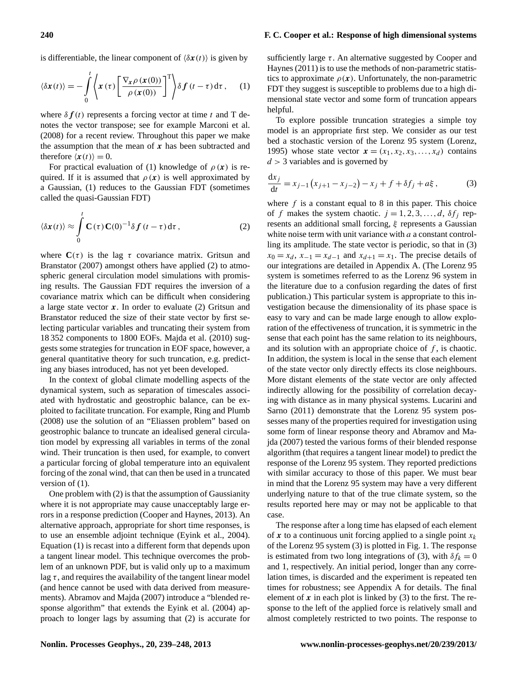is differentiable, the linear component of  $\langle \delta x(t) \rangle$  is given by

$$
\langle \delta \mathbf{x}(t) \rangle = -\int_{0}^{t} \left\langle \mathbf{x}(\tau) \left[ \frac{\nabla_{\mathbf{x}} \rho(\mathbf{x}(0))}{\rho(\mathbf{x}(0))} \right]^{T} \right\rangle \delta \mathbf{f}(t-\tau) d\tau, \quad (1)
$$

where  $\delta f(t)$  represents a forcing vector at time t and T denotes the vector transpose; see for example [Marconi et al.](#page-9-2) [\(2008\)](#page-9-2) for a recent review. Throughout this paper we make the assumption that the mean of  $x$  has been subtracted and therefore  $\langle x(t) \rangle = 0$ .

For practical evaluation of [\(1\)](#page-1-0) knowledge of  $\rho(x)$  is required. If it is assumed that  $\rho(x)$  is well approximated by a Gaussian, [\(1\)](#page-1-0) reduces to the Gaussian FDT (sometimes called the quasi-Gaussian FDT)

<span id="page-1-1"></span>
$$
\langle \delta \mathbf{x}(t) \rangle \approx \int_{0}^{t} \mathbf{C}(\tau) \mathbf{C}(0)^{-1} \delta \mathbf{f}(t-\tau) d\tau, \qquad (2)
$$

where  $C(\tau)$  is the lag  $\tau$  covariance matrix. [Gritsun and](#page-9-3) [Branstator](#page-9-3) [\(2007\)](#page-9-3) amongst others have applied [\(2\)](#page-1-1) to atmospheric general circulation model simulations with promising results. The Gaussian FDT requires the inversion of a covariance matrix which can be difficult when considering a large state vector  $x$ . In order to evaluate [\(2\)](#page-1-1) Gritsun and Branstator reduced the size of their state vector by first selecting particular variables and truncating their system from 18 352 components to 1800 EOFs. [Majda et al.](#page-9-4) [\(2010\)](#page-9-4) suggests some strategies for truncation in EOF space, however, a general quantitative theory for such truncation, e.g. predicting any biases introduced, has not yet been developed.

In the context of global climate modelling aspects of the dynamical system, such as separation of timescales associated with hydrostatic and geostrophic balance, can be exploited to facilitate truncation. For example, [Ring and Plumb](#page-9-5) [\(2008\)](#page-9-5) use the solution of an "Eliassen problem" based on geostrophic balance to truncate an idealised general circulation model by expressing all variables in terms of the zonal wind. Their truncation is then used, for example, to convert a particular forcing of global temperature into an equivalent forcing of the zonal wind, that can then be used in a truncated version of [\(1\)](#page-1-0).

One problem with [\(2\)](#page-1-1) is that the assumption of Gaussianity where it is not appropriate may cause unacceptably large errors in a response prediction [\(Cooper and Haynes,](#page-8-0) [2013\)](#page-8-0). An alternative approach, appropriate for short time responses, is to use an ensemble adjoint technique [\(Eyink et al.,](#page-9-6) [2004\)](#page-9-6). Equation [\(1\)](#page-1-0) is recast into a different form that depends upon a tangent linear model. This technique overcomes the problem of an unknown PDF, but is valid only up to a maximum lag  $\tau$ , and requires the availability of the tangent linear model (and hence cannot be used with data derived from measurements). [Abramov and Majda](#page-8-1) [\(2007\)](#page-8-1) introduce a "blended response algorithm" that extends the [Eyink et al.](#page-9-6) [\(2004\)](#page-9-6) approach to longer lags by assuming that [\(2\)](#page-1-1) is accurate for <span id="page-1-0"></span>sufficiently large  $\tau$ . An alternative suggested by [Cooper and](#page-8-2) [Haynes](#page-8-2) [\(2011\)](#page-8-2) is to use the methods of non-parametric statistics to approximate  $\rho(x)$ . Unfortunately, the non-parametric FDT they suggest is susceptible to problems due to a high dimensional state vector and some form of truncation appears helpful.

To explore possible truncation strategies a simple toy model is an appropriate first step. We consider as our test bed a stochastic version of the Lorenz 95 system [\(Lorenz,](#page-9-7) [1995\)](#page-9-7) whose state vector  $\mathbf{x} = (x_1, x_2, x_3, \dots, x_d)$  contains  $d > 3$  variables and is governed by

<span id="page-1-2"></span>
$$
\frac{dx_j}{dt} = x_{j-1} (x_{j+1} - x_{j-2}) - x_j + f + \delta f_j + a\xi, \tag{3}
$$

where  $f$  is a constant equal to 8 in this paper. This choice of f makes the system chaotic.  $j = 1, 2, 3, \dots, d$ ,  $\delta f_j$  represents an additional small forcing, ξ represents a Gaussian white noise term with unit variance with a a constant controlling its amplitude. The state vector is periodic, so that in [\(3\)](#page-1-2)  $x_0 = x_d$ ,  $x_{-1} = x_{d-1}$  and  $x_{d+1} = x_1$ . The precise details of our integrations are detailed in Appendix A. (The Lorenz 95 system is sometimes referred to as the Lorenz 96 system in the literature due to a confusion regarding the dates of first publication.) This particular system is appropriate to this investigation because the dimensionality of its phase space is easy to vary and can be made large enough to allow exploration of the effectiveness of truncation, it is symmetric in the sense that each point has the same relation to its neighbours, and its solution with an appropriate choice of  $f$ , is chaotic. In addition, the system is local in the sense that each element of the state vector only directly effects its close neighbours. More distant elements of the state vector are only affected indirectly allowing for the possibility of correlation decaying with distance as in many physical systems. [Lucarini and](#page-9-8) [Sarno](#page-9-8) [\(2011\)](#page-9-8) demonstrate that the Lorenz 95 system possesses many of the properties required for investigation using some form of linear response theory and [Abramov and Ma](#page-8-1)[jda](#page-8-1) [\(2007\)](#page-8-1) tested the various forms of their blended response algorithm (that requires a tangent linear model) to predict the response of the Lorenz 95 system. They reported predictions with similar accuracy to those of this paper. We must bear in mind that the Lorenz 95 system may have a very different underlying nature to that of the true climate system, so the results reported here may or may not be applicable to that case.

The response after a long time has elapsed of each element of x to a continuous unit forcing applied to a single point  $x_k$ of the Lorenz 95 system [\(3\)](#page-1-2) is plotted in Fig. [1.](#page-2-0) The response is estimated from two long integrations of [\(3\)](#page-1-2), with  $\delta f_k = 0$ and 1, respectively. An initial period, longer than any correlation times, is discarded and the experiment is repeated ten times for robustness; see Appendix A for details. The final element of  $x$  in each plot is linked by [\(3\)](#page-1-2) to the first. The response to the left of the applied force is relatively small and almost completely restricted to two points. The response to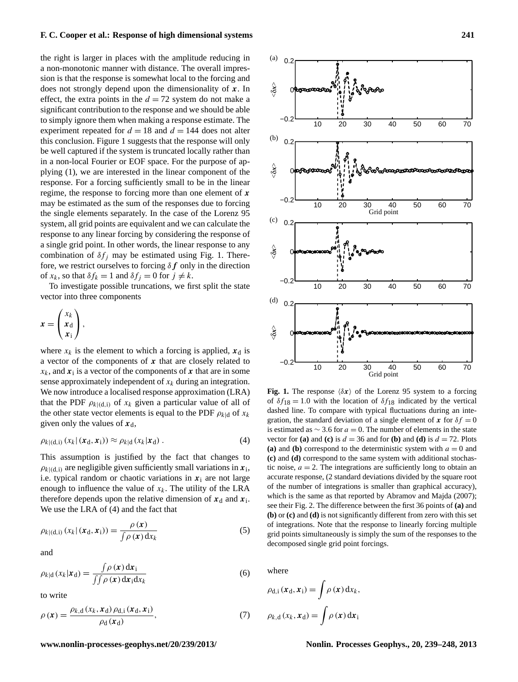the right is larger in places with the amplitude reducing in a non-monotonic manner with distance. The overall impression is that the response is somewhat local to the forcing and does not strongly depend upon the dimensionality of  $x$ . In effect, the extra points in the  $d = 72$  system do not make a significant contribution to the response and we should be able to simply ignore them when making a response estimate. The experiment repeated for  $d = 18$  and  $d = 144$  does not alter this conclusion. Figure [1](#page-2-0) suggests that the response will only be well captured if the system is truncated locally rather than in a non-local Fourier or EOF space. For the purpose of applying [\(1\)](#page-1-0), we are interested in the linear component of the response. For a forcing sufficiently small to be in the linear regime, the response to forcing more than one element of  $x$ may be estimated as the sum of the responses due to forcing the single elements separately. In the case of the Lorenz 95 system, all grid points are equivalent and we can calculate the response to any linear forcing by considering the response of a single grid point. In other words, the linear response to any combination of  $\delta f_i$  may be estimated using Fig. [1.](#page-2-0) Therefore, we restrict ourselves to forcing  $\delta f$  only in the direction of  $x_k$ , so that  $\delta f_k = 1$  and  $\delta f_j = 0$  for  $j \neq k$ .

To investigate possible truncations, we first split the state vector into three components

$$
x=\left(\begin{matrix} x_k \\ x_{d} \\ x_i \end{matrix}\right),
$$

where  $x_k$  is the element to which a forcing is applied,  $x_d$  is a vector of the components of  $x$  that are closely related to  $x_k$ , and  $x_i$  is a vector of the components of x that are in some sense approximately independent of  $x_k$  during an integration. We now introduce a localised response approximation (LRA) that the PDF  $\rho_{k|d,i}$  of  $x_k$  given a particular value of all of the other state vector elements is equal to the PDF  $\rho_{k|d}$  of  $x_k$ given only the values of  $x_d$ ,

<span id="page-2-1"></span>
$$
\rho_{k|(\mathbf{d},\mathbf{i})}\left(x_k|\left(\mathbf{x}_{\mathbf{d}},\mathbf{x}_{\mathbf{i}}\right)\right)\approx\rho_{k|\mathbf{d}}\left(x_k|\mathbf{x}_{\mathbf{d}}\right).
$$
\n(4)

This assumption is justified by the fact that changes to  $\rho_{k|(\mathbf{d},i)}$  are negligible given sufficiently small variations in  $\mathbf{x}_i$ , i.e. typical random or chaotic variations in  $x_i$  are not large enough to influence the value of  $x_k$ . The utility of the LRA therefore depends upon the relative dimension of  $x_d$  and  $x_i$ . We use the LRA of [\(4\)](#page-2-1) and the fact that

$$
\rho_{k|(d,i)}(x_k|(x_d, x_i)) = \frac{\rho(x)}{\int \rho(x) dx_k}
$$
\n(5)

and

$$
\rho_{k|d}(x_k|\mathbf{x}_d) = \frac{\int \rho(\mathbf{x}) d\mathbf{x}_i}{\int \int \rho(\mathbf{x}) d\mathbf{x}_i d x_k}
$$
(6)

<span id="page-2-2"></span>to write

$$
\rho(\mathbf{x}) = \frac{\rho_{k,d}(x_k, \mathbf{x}_d) \rho_{d,i}(\mathbf{x}_d, \mathbf{x}_i)}{\rho_d(\mathbf{x}_d)},
$$
\n(7)



<span id="page-2-0"></span>Fig. 1. The response  $\langle \delta x \rangle$  of the Lorenz 95 system to a forcing of  $\delta f_{18} = 1.0$  with the location of  $\delta f_{18}$  indicated by the vertical dashed line. To compare with typical fluctuations during an integration, the standard deviation of a single element of x for  $\delta f = 0$ is estimated as  $\sim$  3.6 for  $a = 0$ . The number of elements in the state vector for **(a)** and **(c)** is  $d = 36$  and for **(b)** and **(d)** is  $d = 72$ . Plots (a) and (b) correspond to the deterministic system with  $a = 0$  and **(c)** and **(d)** correspond to the same system with additional stochastic noise,  $a = 2$ . The integrations are sufficiently long to obtain an accurate response, (2 standard deviations divided by the square root of the number of integrations is smaller than graphical accuracy), which is the same as that reported by [Abramov and Majda](#page-8-1) [\(2007\)](#page-8-1); see their Fig. 2. The difference between the first 36 points of **(a)** and **(b)** or **(c)** and **(d)** is not significantly different from zero with this set of integrations. Note that the response to linearly forcing multiple grid points simultaneously is simply the sum of the responses to the decomposed single grid point forcings.

where

$$
\rho_{d,i}(\mathbf{x}_d, \mathbf{x}_i) = \int \rho(\mathbf{x}) d x_k,
$$
  

$$
\rho_{k,d} (x_k, \mathbf{x}_d) = \int \rho(\mathbf{x}) d \mathbf{x}_i
$$

**www.nonlin-processes-geophys.net/20/239/2013/ Nonlin. Processes Geophys., 20, 239[–248,](#page-0-0) 2013**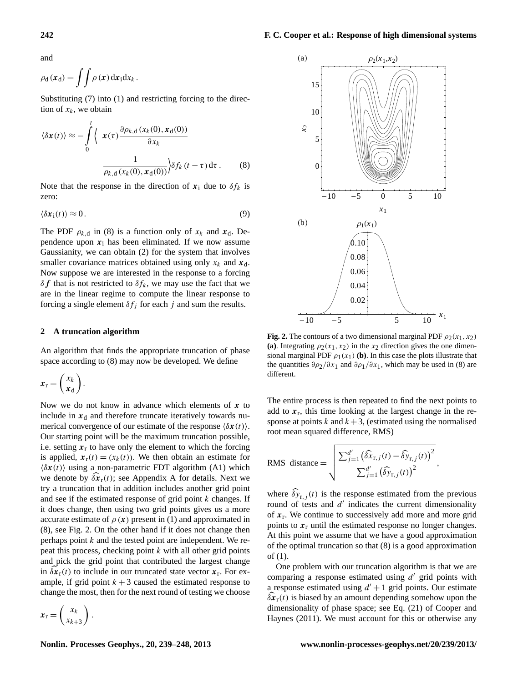and

$$
\rho_{\rm d}(\mathbf{x}_{\rm d}) = \iint \rho(\mathbf{x}) \, \mathrm{d}\mathbf{x}_{\rm i} \mathrm{d}x_k \, .
$$

Substituting [\(7\)](#page-2-2) into [\(1\)](#page-1-0) and restricting forcing to the direction of  $x_k$ , we obtain

<span id="page-3-0"></span>
$$
\langle \delta \mathbf{x}(t) \rangle \approx -\int_{0}^{t} \langle \mathbf{x}(\tau) \frac{\partial \rho_{k,d}(x_k(0), \mathbf{x}_d(0))}{\partial x_k} \frac{1}{\rho_{k,d}(x_k(0), \mathbf{x}_d(0))} \rangle \delta f_k(t-\tau) d\tau.
$$
 (8)

<span id="page-3-2"></span>Note that the response in the direction of  $x_i$  due to  $\delta f_k$  is zero:

$$
\langle \delta x_i(t) \rangle \approx 0. \tag{9}
$$

The PDF  $\rho_{k,d}$  in [\(8\)](#page-3-0) is a function only of  $x_k$  and  $x_d$ . Dependence upon  $x_i$  has been eliminated. If we now assume Gaussianity, we can obtain [\(2\)](#page-1-1) for the system that involves smaller covariance matrices obtained using only  $x_k$  and  $x_d$ . Now suppose we are interested in the response to a forcing  $\delta f$  that is not restricted to  $\delta f_k$ , we may use the fact that we are in the linear regime to compute the linear response to forcing a single element  $\delta f_i$  for each j and sum the results.

#### **2 A truncation algorithm**

An algorithm that finds the appropriate truncation of phase space according to [\(8\)](#page-3-0) may now be developed. We define

$$
\mathbf{x}_{\mathrm{r}} = \left(\frac{x_k}{x_{\mathrm{d}}}\right).
$$

Now we do not know in advance which elements of  $x$  to include in  $x_d$  and therefore truncate iteratively towards numerical convergence of our estimate of the response  $\langle \delta x(t) \rangle$ . Our starting point will be the maximum truncation possible, i.e. setting  $x_r$  to have only the element to which the forcing is applied,  $\mathbf{x}_r(t) = (x_k(t))$ . We then obtain an estimate for  $\langle \delta x(t) \rangle$  using a non-parametric FDT algorithm [\(A1\)](#page-8-3) which we denote by  $\delta x_r(t)$ ; see Appendix A for details. Next we try a truncation that in addition includes another grid point and see if the estimated response of grid point  $k$  changes. If it does change, then using two grid points gives us a more accurate estimate of  $\rho(x)$  present in [\(1\)](#page-1-0) and approximated in [\(8\)](#page-3-0), see Fig. [2.](#page-3-1) On the other hand if it does not change then perhaps point k and the tested point are independent. We repeat this process, checking point  $k$  with all other grid points and pick the grid point that contributed the largest change in  $\delta x_{r}(t)$  to include in our truncated state vector  $x_{r}$ . For example, if grid point  $k + 3$  caused the estimated response to change the most, then for the next round of testing we choose





<span id="page-3-1"></span>**Fig. 2.** The contours of a two dimensional marginal PDF  $\rho_2(x_1, x_2)$ (a). Integrating  $\rho_2(x_1, x_2)$  in the x<sub>2</sub> direction gives the one dimensional marginal PDF  $\rho_1(x_1)$  (b). In this case the plots illustrate that the quantities  $\partial \rho_2 / \partial x_1$  and  $\partial \rho_1 / \partial x_1$ , which may be used in [\(8\)](#page-3-0) are different.

The entire process is then repeated to find the next points to add to  $x_r$ , this time looking at the largest change in the response at points k and  $k+3$ , (estimated using the normalised root mean squared difference, RMS)

RMS distance = 
$$
\sqrt{\frac{\sum_{j=1}^{d'} (\widehat{\delta x}_{r,j}(t) - \widehat{\delta y}_{r,j}(t))^2}{\sum_{j=1}^{d'} (\widehat{\delta y}_{r,j}(t))^2}},
$$

where  $\delta y_{r,i}(t)$  is the response estimated from the previous round of tests and  $d'$  indicates the current dimensionality of  $x_r$ . We continue to successively add more and more grid points to  $x_r$  until the estimated response no longer changes. At this point we assume that we have a good approximation of the optimal truncation so that [\(8\)](#page-3-0) is a good approximation of [\(1\)](#page-1-0).

One problem with our truncation algorithm is that we are comparing a response estimated using  $d'$  grid points with a response estimated using  $d' + 1$  grid points. Our estimate  $\delta x_r(t)$  is biased by an amount depending somehow upon the dimensionality of phase space; see Eq. (21) of [Cooper and](#page-8-2) [Haynes](#page-8-2) [\(2011\)](#page-8-2). We must account for this or otherwise any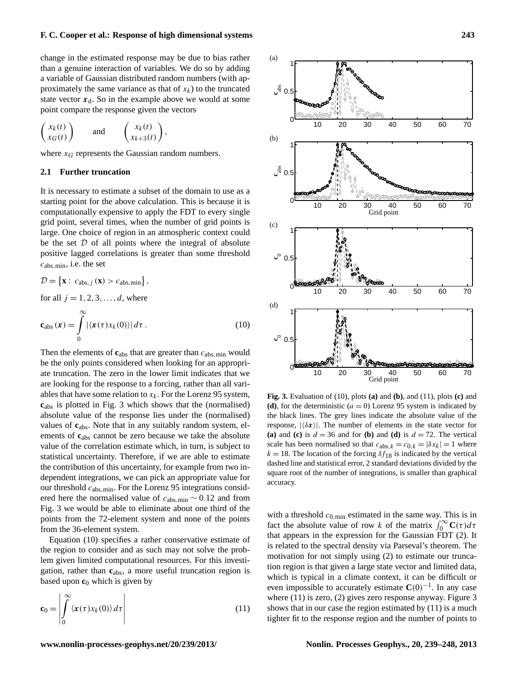change in the estimated response may be due to bias rather than a genuine interaction of variables. We do so by adding a variable of Gaussian distributed random numbers (with approximately the same variance as that of  $x_k$ ) to the truncated state vector  $x_d$ . So in the example above we would at some point compare the response given the vectors

$$
\begin{pmatrix} x_k(t) \\ x_G(t) \end{pmatrix} \quad \text{and} \quad \begin{pmatrix} x_k(t) \\ x_{k+3}(t) \end{pmatrix},
$$

where  $x_G$  represents the Gaussian random numbers.

#### **2.1 Further truncation**

It is necessary to estimate a subset of the domain to use as a starting point for the above calculation. This is because it is computationally expensive to apply the FDT to every single grid point, several times, when the number of grid points is large. One choice of region in an atmospheric context could be the set  $D$  of all points where the integral of absolute positive lagged correlations is greater than some threshold  $c<sub>abs,min</sub>$ , i.e. the set

<span id="page-4-1"></span>
$$
\mathcal{D} = \{ \mathbf{x} : c_{\text{abs},j}(\mathbf{x}) > c_{\text{abs},\text{min}} \},
$$
  
for all  $j = 1, 2, 3, ..., d$ , where

$$
\mathbf{c}_{\text{abs}}\left(\mathbf{x}\right) = \int_{0}^{\infty} |\langle \mathbf{x}(\tau) x_k(0) \rangle| d\tau. \tag{10}
$$

Then the elements of  $c_{\text{abs}}$  that are greater than  $c_{\text{abs,min}}$  would be the only points considered when looking for an appropriate truncation. The zero in the lower limit indicates that we are looking for the response to a forcing, rather than all variables that have some relation to  $x_k$ . For the Lorenz 95 system, **c**abs is plotted in Fig. [3](#page-4-0) which shows that the (normalised) absolute value of the response lies under the (normalised) values of **c**abs. Note that in any suitably random system, elements of **c**abs cannot be zero because we take the absolute value of the correlation estimate which, in turn, is subject to statistical uncertainty. Therefore, if we are able to estimate the contribution of this uncertainty, for example from two independent integrations, we can pick an appropriate value for our threshold  $c_{\text{abs,min}}$ . For the Lorenz 95 integrations considered here the normalised value of  $c<sub>abs,min</sub> \sim 0.12$  and from Fig. [3](#page-4-0) we would be able to eliminate about one third of the points from the 72-element system and none of the points from the 36-element system.

Equation [\(10\)](#page-4-1) specifies a rather conservative estimate of the region to consider and as such may not solve the problem given limited computational resources. For this investigation, rather than **c**abs, a more useful truncation region is based upon  $c_0$  which is given by

<span id="page-4-2"></span>
$$
\mathbf{c}_0 = \left| \int_0^\infty \langle \mathbf{x}(\tau) x_k(0) \rangle \, d\tau \right| \tag{11}
$$



<span id="page-4-0"></span>**Fig. 3.** Evaluation of [\(10\)](#page-4-1), plots **(a)** and **(b)**, and [\(11\)](#page-4-2), plots **(c)** and (d), for the deterministic  $(a = 0)$  Lorenz 95 system is indicated by the black lines. The grey lines indicate the absolute value of the response,  $|\langle \delta x \rangle|$ . The number of elements in the state vector for **(a)** and **(c)** is  $d = 36$  and for **(b)** and **(d)** is  $d = 72$ . The vertical scale has been normalised so that  $c_{\text{abs},k} = c_{0,k} = |\delta x_k| = 1$  where  $k = 18$ . The location of the forcing  $\delta f_{18}$  is indicated by the vertical dashed line and statistical error, 2 standard deviations divided by the square root of the number of integrations, is smaller than graphical accuracy.

with a threshold  $c_{0,\text{min}}$  estimated in the same way. This is in fact the absolute value of row k of the matrix  $\int_0^\infty \mathbf{C}(\tau) d\tau$ that appears in the expression for the Gaussian FDT [\(2\)](#page-1-1). It is related to the spectral density via Parseval's theorem. The motivation for not simply using [\(2\)](#page-1-1) to estimate our truncation region is that given a large state vector and limited data, which is typical in a climate context, it can be difficult or even impossible to accurately estimate  $C(0)^{-1}$ . In any case where [\(11\)](#page-4-2) is zero, [\(2\)](#page-1-1) gives zero response anyway. Figure [3](#page-4-0) shows that in our case the region estimated by [\(11\)](#page-4-2) is a much tighter fit to the response region and the number of points to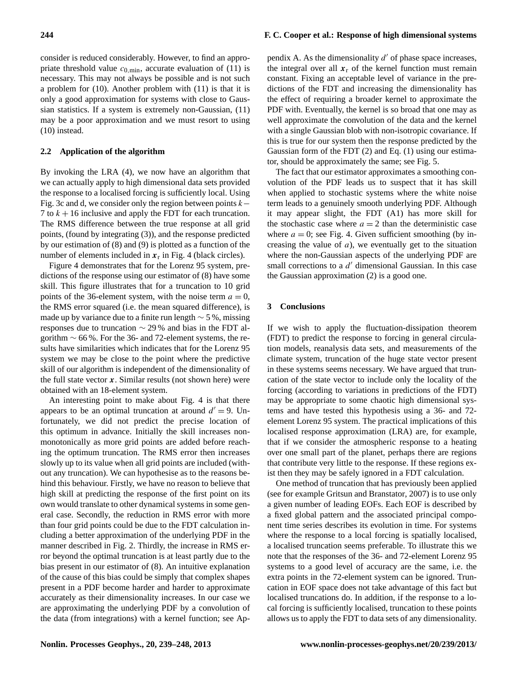consider is reduced considerably. However, to find an appropriate threshold value  $c_{0,\text{min}}$ , accurate evaluation of [\(11\)](#page-4-2) is necessary. This may not always be possible and is not such a problem for [\(10\)](#page-4-1). Another problem with [\(11\)](#page-4-2) is that it is only a good approximation for systems with close to Gaussian statistics. If a system is extremely non-Gaussian, [\(11\)](#page-4-2) may be a poor approximation and we must resort to using [\(10\)](#page-4-1) instead.

#### **2.2 Application of the algorithm**

By invoking the LRA [\(4\)](#page-2-1), we now have an algorithm that we can actually apply to high dimensional data sets provided the response to a localised forcing is sufficiently local. Using Fig. [3c](#page-4-0) and d, we consider only the region between points  $k-$ 7 to  $k + 16$  inclusive and apply the FDT for each truncation. The RMS difference between the true response at all grid points, (found by integrating [\(3\)](#page-1-2)), and the response predicted by our estimation of [\(8\)](#page-3-0) and [\(9\)](#page-3-2) is plotted as a function of the number of elements included in  $x_r$  in Fig. [4](#page-6-0) (black circles).

Figure [4](#page-6-0) demonstrates that for the Lorenz 95 system, predictions of the response using our estimator of [\(8\)](#page-3-0) have some skill. This figure illustrates that for a truncation to 10 grid points of the 36-element system, with the noise term  $a = 0$ , the RMS error squared (i.e. the mean squared difference), is made up by variance due to a finite run length  $\sim$  5 %, missing responses due to truncation ∼ 29 % and bias in the FDT algorithm  $\sim$  66 %. For the 36- and 72-element systems, the results have similarities which indicates that for the Lorenz 95 system we may be close to the point where the predictive skill of our algorithm is independent of the dimensionality of the full state vector  $x$ . Similar results (not shown here) were obtained with an 18-element system.

An interesting point to make about Fig. [4](#page-6-0) is that there appears to be an optimal truncation at around  $d' = 9$ . Unfortunately, we did not predict the precise location of this optimum in advance. Initially the skill increases nonmonotonically as more grid points are added before reaching the optimum truncation. The RMS error then increases slowly up to its value when all grid points are included (without any truncation). We can hypothesise as to the reasons behind this behaviour. Firstly, we have no reason to believe that high skill at predicting the response of the first point on its own would translate to other dynamical systems in some general case. Secondly, the reduction in RMS error with more than four grid points could be due to the FDT calculation including a better approximation of the underlying PDF in the manner described in Fig. [2.](#page-3-1) Thirdly, the increase in RMS error beyond the optimal truncation is at least partly due to the bias present in our estimator of [\(8\)](#page-3-0). An intuitive explanation of the cause of this bias could be simply that complex shapes present in a PDF become harder and harder to approximate accurately as their dimensionality increases. In our case we are approximating the underlying PDF by a convolution of the data (from integrations) with a kernel function; see Ap-

# **244 F. C. Cooper et al.: Response of high dimensional systems**

pendix A. As the dimensionality  $d'$  of phase space increases, the integral over all  $x_r$  of the kernel function must remain constant. Fixing an acceptable level of variance in the predictions of the FDT and increasing the dimensionality has the effect of requiring a broader kernel to approximate the PDF with. Eventually, the kernel is so broad that one may as well approximate the convolution of the data and the kernel with a single Gaussian blob with non-isotropic covariance. If this is true for our system then the response predicted by the Gaussian form of the FDT [\(2\)](#page-1-1) and Eq. [\(1\)](#page-1-0) using our estimator, should be approximately the same; see Fig. [5.](#page-7-0)

The fact that our estimator approximates a smoothing convolution of the PDF leads us to suspect that it has skill when applied to stochastic systems where the white noise term leads to a genuinely smooth underlying PDF. Although it may appear slight, the FDT [\(A1\)](#page-8-3) has more skill for the stochastic case where  $a = 2$  than the deterministic case where  $a = 0$ ; see Fig. [4.](#page-6-0) Given sufficient smoothing (by increasing the value of  $a$ ), we eventually get to the situation where the non-Gaussian aspects of the underlying PDF are small corrections to a  $d'$  dimensional Gaussian. In this case the Gaussian approximation [\(2\)](#page-1-1) is a good one.

#### **3 Conclusions**

If we wish to apply the fluctuation-dissipation theorem (FDT) to predict the response to forcing in general circulation models, reanalysis data sets, and measurements of the climate system, truncation of the huge state vector present in these systems seems necessary. We have argued that truncation of the state vector to include only the locality of the forcing (according to variations in predictions of the FDT) may be appropriate to some chaotic high dimensional systems and have tested this hypothesis using a 36- and 72 element Lorenz 95 system. The practical implications of this localised response approximation (LRA) are, for example, that if we consider the atmospheric response to a heating over one small part of the planet, perhaps there are regions that contribute very little to the response. If these regions exist then they may be safely ignored in a FDT calculation.

One method of truncation that has previously been applied (see for example [Gritsun and Branstator,](#page-9-3) [2007\)](#page-9-3) is to use only a given number of leading EOFs. Each EOF is described by a fixed global pattern and the associated principal component time series describes its evolution in time. For systems where the response to a local forcing is spatially localised, a localised truncation seems preferable. To illustrate this we note that the responses of the 36- and 72-element Lorenz 95 systems to a good level of accuracy are the same, i.e. the extra points in the 72-element system can be ignored. Truncation in EOF space does not take advantage of this fact but localised truncations do. In addition, if the response to a local forcing is sufficiently localised, truncation to these points allows us to apply the FDT to data sets of any dimensionality.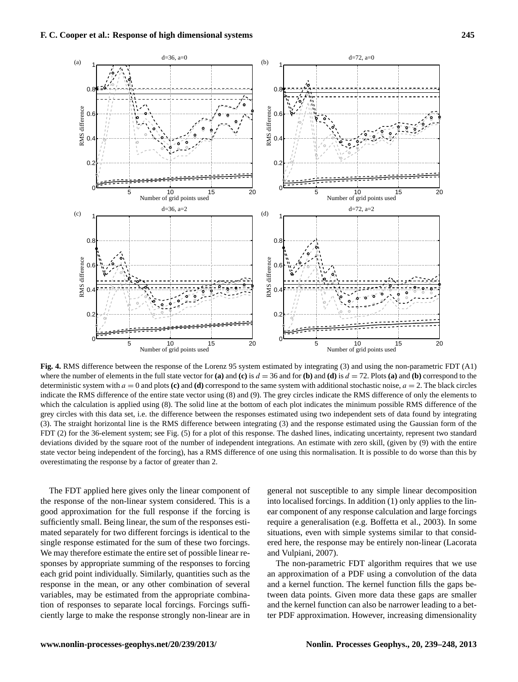

<span id="page-6-0"></span>where the number of elements in the full state vector for (a) and (c) is  $d = 36$  and for (b) and (d) is  $d = 72$ . Plots (a) and (b) correspond to the deterministic system with  $a = 0$  and plots (c) and (d) correspond to the same system with additional stochastic noise,  $a = 2$ . The black circles indicate the RMS difference of the entire state vector using [\(8\)](#page-3-0) and [\(9\)](#page-3-2). The grey circles indicate the RMS difference of only the elements to which the calculation is applied using [\(8\)](#page-3-0). The solid line at the bottom of each plot indicates the minimum possible RMS difference of the grey circles with this data set, i.e. the difference between the responses estimated using two independent sets of data found by integrating grey circles with the difference between the responses  $\alpha$  and the responses estimated using the Coupling found [\(3\)](#page-1-2). The straight horizontal line is the RMS difference between integrating [\(3\)](#page-1-2) and the response estimated using the Gaussian form of the FDT [\(2\)](#page-1-1) for the 36-element system; see Fig. [\(5\)](#page-7-0) for a plot of this response. The dashed lines, indicating uncertainty, represent two standard deviations divided by the square root of the number of independent integrations. An estimate with zero skill, (given by [\(9\)](#page-3-2) with the entire state vector being independent of the forcing), has a RMS difference of one using this normalisation. It is possible to do worse than this by overestimating the response by a factor of greater than 2. overestimating the response by a factor of greater than 2. **Fig. 4.** RMS difference between the response of the Lorenz 95 system estimated by integrating [\(3\)](#page-1-2) and using the non-parametric FDT [\(A1\)](#page-8-3)

The FDT applied here gives only the linear component of the response of the non-linear system considered. This is a the response of the non-linear system considered. This is a good approximation for the full response if the forcing is ficiently small. Being linear, the sum of the responses estisufficiently small. Being linear, the sum of the responses estimated separately for two different forcings is identical to the single response estimated for the sum of these two forcings. We may therefore estimate the entire set of possible linear responses by appropriate summing of the responses to forcing each grid point individually. Similarly, quantities such as the response in the mean, or any other combination of several variables, may be estimated from the appropriate combination of responses to separate local forcings. Forcings sufficiently large to make the response strongly non-linear are in general not susceptible to any simple linear decomposition into localised forcings. In addition  $(1)$  only applies to the linear component of any response calculation and large forcings the component of any response existential forcing  $\epsilon$  or  $\eta$ require a generalisation (e.g. [Boffetta et al.,](#page-8-4) [2003\)](#page-8-4). In some situations, even with simple systems similar to that consid-ered here, the response may be entirely non-linear [\(Lacorata](#page-9-9) [and Vulpiani,](#page-9-9) [2007\)](#page-9-9).

The non-parametric FDT algorithm requires that we use an approximation of a PDF using a convolution of the data and a kernel function. The kernel function fills the gaps between data points. Given more data these gaps are smaller and the kernel function can also be narrower leading to a better PDF approximation. However, increasing dimensionality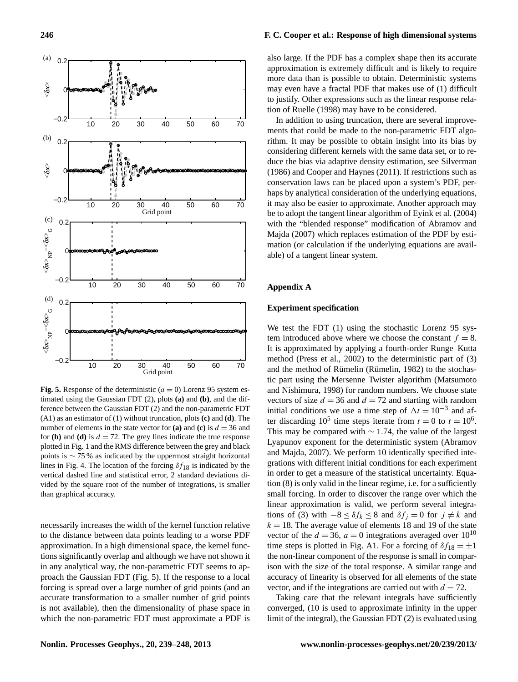

<span id="page-7-0"></span>**Fig. 5.** Response of the deterministic  $(a = 0)$  Lorenz 95 system estimated using the Gaussian FDT [\(2\)](#page-1-1), plots **(a)** and **(b)**, and the difference between the Gaussian FDT [\(2\)](#page-1-1) and the non-parametric FDT [\(A1\)](#page-8-3) as an estimator of [\(1\)](#page-1-0) without truncation, plots **(c)** and **(d)**. The number of elements in the state vector for (a) and (c) is  $d = 36$  and for **(b)** and **(d)** is  $d = 72$ . The grey lines indicate the true response plotted in Fig. [1](#page-2-0) and the RMS difference between the grey and black points is ∼ 75 % as indicated by the uppermost straight horizontal lines in Fig. [4.](#page-6-0) The location of the forcing  $\delta f_{18}$  is indicated by the vertical dashed line and statistical error, 2 standard deviations divided by the square root of the number of integrations, is smaller than graphical accuracy.

necessarily increases the width of the kernel function relative to the distance between data points leading to a worse PDF approximation. In a high dimensional space, the kernel functions significantly overlap and although we have not shown it in any analytical way, the non-parametric FDT seems to approach the Gaussian FDT (Fig. [5\)](#page-7-0). If the response to a local forcing is spread over a large number of grid points (and an accurate transformation to a smaller number of grid points is not available), then the dimensionality of phase space in which the non-parametric FDT must approximate a PDF is

# **246 F. C. Cooper et al.: Response of high dimensional systems**

also large. If the PDF has a complex shape then its accurate approximation is extremely difficult and is likely to require more data than is possible to obtain. Deterministic systems may even have a fractal PDF that makes use of [\(1\)](#page-1-0) difficult to justify. Other expressions such as the linear response relation of [Ruelle](#page-9-10) [\(1998\)](#page-9-10) may have to be considered.

In addition to using truncation, there are several improvements that could be made to the non-parametric FDT algorithm. It may be possible to obtain insight into its bias by considering different kernels with the same data set, or to reduce the bias via adaptive density estimation, see [Silverman](#page-9-11) [\(1986\)](#page-9-11) and [Cooper and Haynes](#page-8-2) [\(2011\)](#page-8-2). If restrictions such as conservation laws can be placed upon a system's PDF, perhaps by analytical consideration of the underlying equations, it may also be easier to approximate. Another approach may be to adopt the tangent linear algorithm of [Eyink et al.](#page-9-6) [\(2004\)](#page-9-6) with the "blended response" modification of [Abramov and](#page-8-1) [Majda](#page-8-1) [\(2007\)](#page-8-1) which replaces estimation of the PDF by estimation (or calculation if the underlying equations are available) of a tangent linear system.

# **Appendix A**

#### **Experiment specification**

We test the FDT [\(1\)](#page-1-0) using the stochastic Lorenz 95 system introduced above where we choose the constant  $f = 8$ . It is approximated by applying a fourth-order Runge–Kutta method [\(Press et al.,](#page-9-12) [2002\)](#page-9-12) to the deterministic part of [\(3\)](#page-1-2) and the method of Rümelin (Rümelin, [1982\)](#page-9-13) to the stochastic part using the Mersenne Twister algorithm [\(Matsumoto](#page-9-14) [and Nishimura,](#page-9-14) [1998\)](#page-9-14) for random numbers. We choose state vectors of size  $d = 36$  and  $d = 72$  and starting with random initial conditions we use a time step of  $\Delta t = 10^{-3}$  and after discarding 10<sup>5</sup> time steps iterate from  $t = 0$  to  $t = 10^6$ . This may be compared with ∼ 1.74, the value of the largest Lyapunov exponent for the deterministic system [\(Abramov](#page-8-1) [and Majda,](#page-8-1) [2007\)](#page-8-1). We perform 10 identically specified integrations with different initial conditions for each experiment in order to get a measure of the statistical uncertainty. Equation [\(8\)](#page-3-0) is only valid in the linear regime, i.e. for a sufficiently small forcing. In order to discover the range over which the linear approximation is valid, we perform several integra-tions of [\(3\)](#page-1-2) with  $-8 \leq \delta f_k \leq 8$  and  $\delta f_j = 0$  for  $j \neq k$  and  $k = 18$ . The average value of elements 18 and 19 of the state vector of the  $d = 36$ ,  $a = 0$  integrations averaged over  $10^{10}$ time steps is plotted in Fig. [A1.](#page-8-5) For a forcing of  $\delta f_{18} = \pm 1$ the non-linear component of the response is small in comparison with the size of the total response. A similar range and accuracy of linearity is observed for all elements of the state vector, and if the integrations are carried out with  $d = 72$ .

Taking care that the relevant integrals have sufficiently converged, (10 is used to approximate infinity in the upper limit of the integral), the Gaussian FDT [\(2\)](#page-1-1) is evaluated using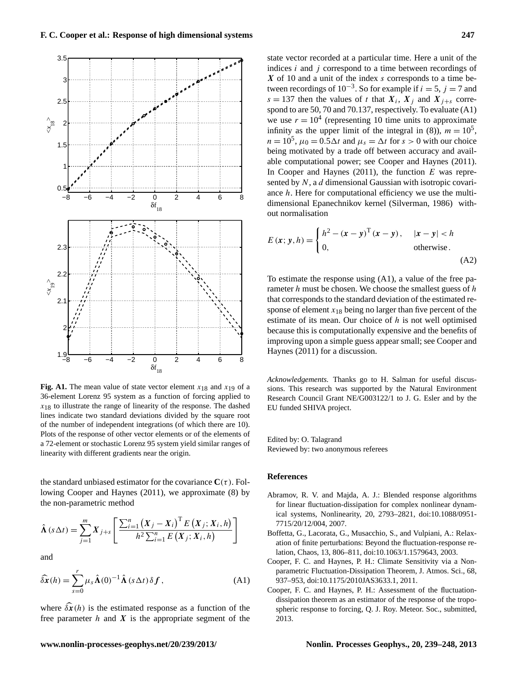

<span id="page-8-5"></span>**Fig. A1.** The mean value of state vector element  $x_{18}$  and  $x_{19}$  of a 36-element Lorenz 95 system as a function of forcing applied to  $x_{18}$  to illustrate the range of linearity of the response. The dashed lines indicate two standard deviations divided by the square root of the number of independent integrations (of which there are 10). Plots of the response of other vector elements or of the elements of a 72-element or stochastic Lorenz 95 system yield similar ranges of linearity with different gradients near the origin.

the standard unbiased estimator for the covariance  $C(\tau)$ . Following [Cooper and Haynes](#page-8-2) [\(2011\)](#page-8-2), we approximate [\(8\)](#page-3-0) by the non-parametric method

$$
\hat{\mathbf{\Lambda}}\left(s\,\Delta t\right) = \sum_{j=1}^{m} X_{j+s} \left[ \frac{\sum_{i=1}^{n} \left(X_{j}-X_{i}\right)^{\mathrm{T}} E\left(X_{j}; X_{i}, h\right)}{h^{2} \sum_{i=1}^{n} E\left(X_{j}; X_{i}, h\right)} \right]
$$

<span id="page-8-3"></span>and

$$
\widehat{\delta \mathbf{x}}(h) = \sum_{s=0}^{r} \mu_s \widehat{\mathbf{\Lambda}}(0)^{-1} \widehat{\mathbf{\Lambda}}(s \Delta t) \delta \mathbf{f}, \tag{A1}
$$

where  $\delta \hat{\mathbf{x}}(h)$  is the estimated response as a function of the free parameter  $h$  and  $X$  is the appropriate segment of the

# state vector recorded at a particular time. Here a unit of the indices  $i$  and  $j$  correspond to a time between recordings of  $X$  of 10 and a unit of the index s corresponds to a time between recordings of  $10^{-3}$ . So for example if  $i = 5$ ,  $j = 7$  and  $s = 137$  then the values of t that  $X_i$ ,  $X_j$  and  $X_{j+s}$  correspond to are 50, 70 and 70.137, respectively. To evaluate [\(A1\)](#page-8-3) we use  $r = 10^4$  (representing 10 time units to approximate infinity as the upper limit of the integral in [\(8\)](#page-3-0)),  $m = 10^5$ ,  $n = 10^5$ ,  $\mu_0 = 0.5\Delta t$  and  $\mu_s = \Delta t$  for  $s > 0$  with our choice being motivated by a trade off between accuracy and available computational power; see [Cooper and Haynes](#page-8-2) [\(2011\)](#page-8-2). In [Cooper and Haynes](#page-8-2)  $(2011)$ , the function E was represented by  $N$ , a  $d$  dimensional Gaussian with isotropic covariance h. Here for computational efficiency we use the multidimensional Epanechnikov kernel [\(Silverman,](#page-9-11) [1986\)](#page-9-11) without normalisation

$$
E(x; y, h) = \begin{cases} h^2 - (x - y)^T (x - y), & |x - y| < h \\ 0, & \text{otherwise.} \end{cases} \tag{A2}
$$

To estimate the response using [\(A1\)](#page-8-3), a value of the free parameter  $h$  must be chosen. We choose the smallest guess of  $h$ that corresponds to the standard deviation of the estimated response of element  $x_{18}$  being no larger than five percent of the estimate of its mean. Our choice of  $h$  is not well optimised because this is computationally expensive and the benefits of improving upon a simple guess appear small; see [Cooper and](#page-8-2) [Haynes](#page-8-2) [\(2011\)](#page-8-2) for a discussion.

*Acknowledgements.* Thanks go to H. Salman for useful discussions. This research was supported by the Natural Environment Research Council Grant NE/G003122/1 to J. G. Esler and by the EU funded SHIVA project.

Edited by: O. Talagrand Reviewed by: two anonymous referees

#### **References**

- <span id="page-8-1"></span>Abramov, R. V. and Majda, A. J.: Blended response algorithms for linear fluctuation-dissipation for complex nonlinear dynamical systems, Nonlinearity, 20, 2793–2821, [doi:10.1088/0951-](http://dx.doi.org/10.1088/0951-7715/20/12/004) [7715/20/12/004,](http://dx.doi.org/10.1088/0951-7715/20/12/004) 2007.
- <span id="page-8-4"></span>Boffetta, G., Lacorata, G., Musacchio, S., and Vulpiani, A.: Relaxation of finite perturbations: Beyond the fluctuation-response relation, Chaos, 13, 806–811, [doi:10.1063/1.1579643,](http://dx.doi.org/10.1063/1.1579643) 2003.
- <span id="page-8-2"></span>Cooper, F. C. and Haynes, P. H.: Climate Sensitivity via a Nonparametric Fluctuation-Dissipation Theorem, J. Atmos. Sci., 68, 937–953, [doi:10.1175/2010JAS3633.1,](http://dx.doi.org/10.1175/2010JAS3633.1) 2011.
- <span id="page-8-0"></span>Cooper, F. C. and Haynes, P. H.: Assessment of the fluctuationdissipation theorem as an estimator of the response of the tropospheric response to forcing, Q. J. Roy. Meteor. Soc., submitted, 2013.